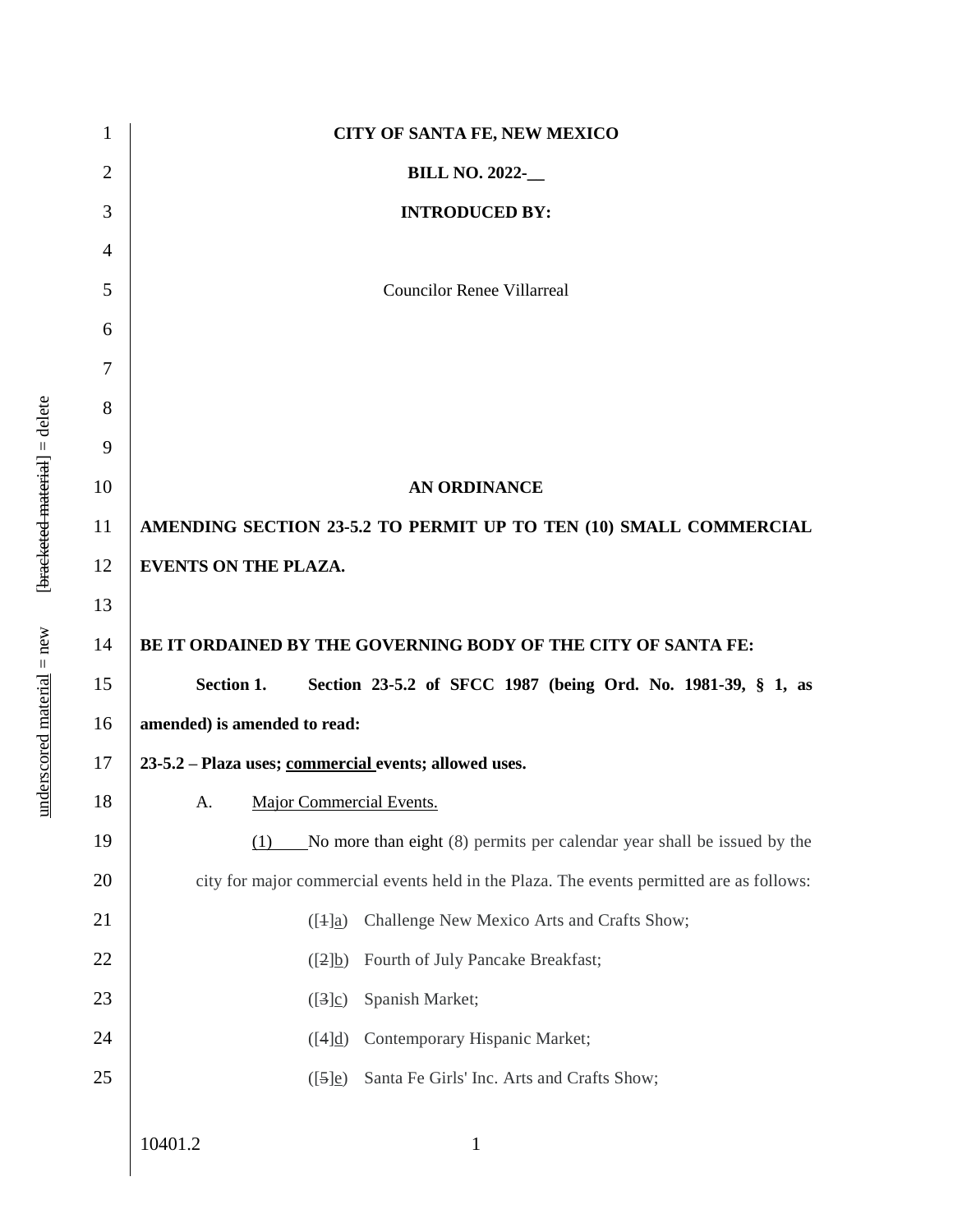| 1              | <b>CITY OF SANTA FE, NEW MEXICO</b>                                                      |
|----------------|------------------------------------------------------------------------------------------|
| $\overline{2}$ | <b>BILL NO. 2022-__</b>                                                                  |
| 3              | <b>INTRODUCED BY:</b>                                                                    |
| $\overline{4}$ |                                                                                          |
| 5              | <b>Councilor Renee Villarreal</b>                                                        |
| 6              |                                                                                          |
| 7              |                                                                                          |
| 8              |                                                                                          |
| 9              |                                                                                          |
| 10             | <b>AN ORDINANCE</b>                                                                      |
| 11             | AMENDING SECTION 23-5.2 TO PERMIT UP TO TEN (10) SMALL COMMERCIAL                        |
| 12             | <b>EVENTS ON THE PLAZA.</b>                                                              |
| 13             |                                                                                          |
| 14             | BE IT ORDAINED BY THE GOVERNING BODY OF THE CITY OF SANTA FE:                            |
| 15             | Section 1.<br>Section 23-5.2 of SFCC 1987 (being Ord. No. 1981-39, § 1, as               |
| 16             | amended) is amended to read:                                                             |
| 17             | 23-5.2 - Plaza uses; commercial events; allowed uses.                                    |
| 18             | Major Commercial Events.<br>A.                                                           |
| 19             | No more than eight (8) permits per calendar year shall be issued by the<br>(1)           |
| 20             | city for major commercial events held in the Plaza. The events permitted are as follows: |
| 21             | Challenge New Mexico Arts and Crafts Show;<br>$( [4]_2)$                                 |
| 22             | Fourth of July Pancake Breakfast;<br>([2]b)                                              |
| 23             | Spanish Market;<br>([3]c)                                                                |
| 24             | Contemporary Hispanic Market;<br>([4]d)                                                  |
| 25             | Santa Fe Girls' Inc. Arts and Crafts Show;<br>$([5]_e)$                                  |
|                |                                                                                          |
|                | 10401.2<br>$\mathbf{1}$                                                                  |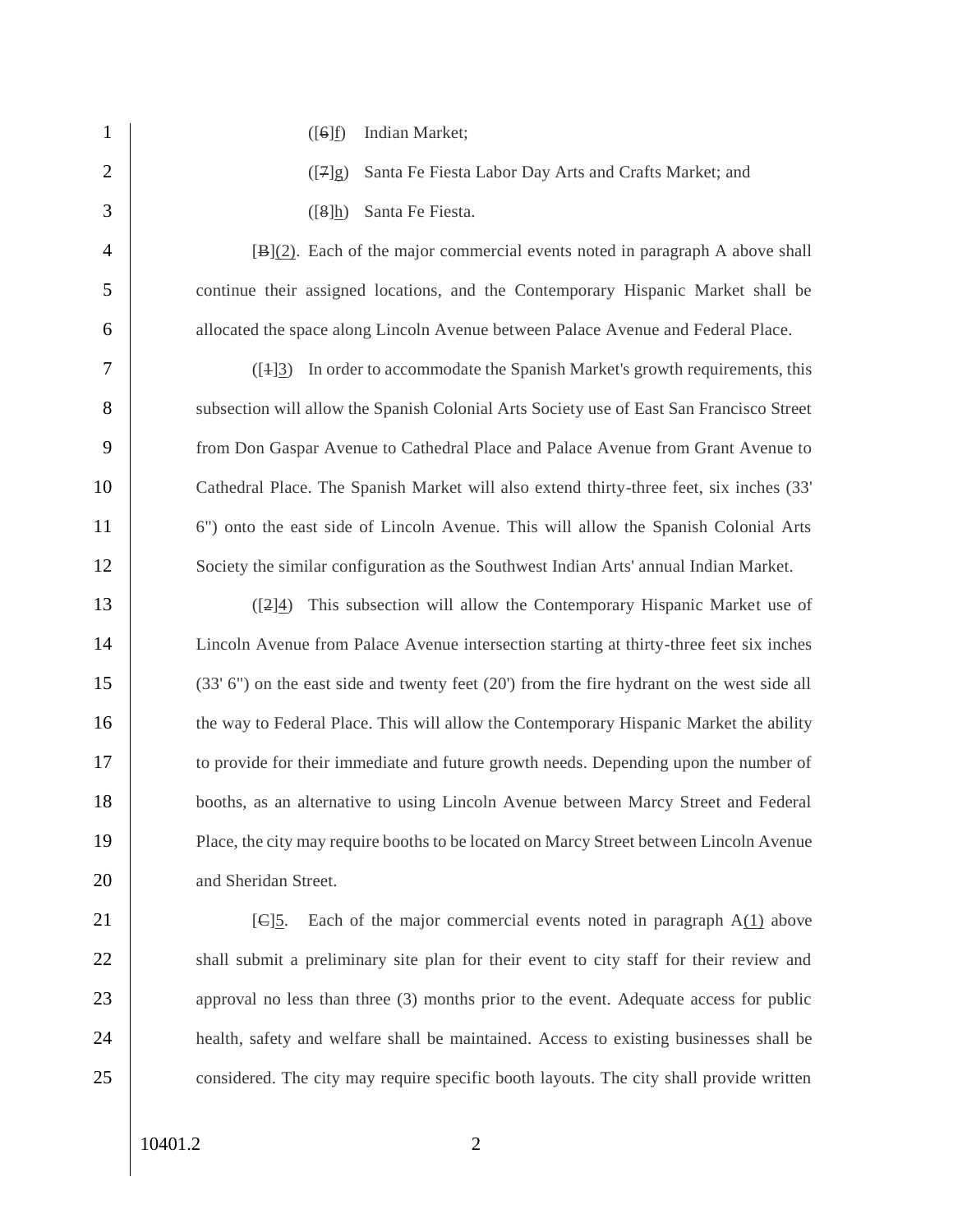1 ([6]f) Indian Market; 2 ([7]g) Santa Fe Fiesta Labor Day Arts and Crafts Market; and 3 ([8]h) Santa Fe Fiesta. 4 [B](2). Each of the major commercial events noted in paragraph A above shall 5 continue their assigned locations, and the Contemporary Hispanic Market shall be 6 allocated the space along Lincoln Avenue between Palace Avenue and Federal Place. 7 ([1]3) In order to accommodate the Spanish Market's growth requirements, this 8 subsection will allow the Spanish Colonial Arts Society use of East San Francisco Street 9 from Don Gaspar Avenue to Cathedral Place and Palace Avenue from Grant Avenue to 10 Cathedral Place. The Spanish Market will also extend thirty-three feet, six inches (33' 11 6") onto the east side of Lincoln Avenue. This will allow the Spanish Colonial Arts 12 Society the similar configuration as the Southwest Indian Arts' annual Indian Market. 13 ([2]4) This subsection will allow the Contemporary Hispanic Market use of 14 Lincoln Avenue from Palace Avenue intersection starting at thirty-three feet six inches 15 (33' 6") on the east side and twenty feet (20") from the fire hydrant on the west side all 16 the way to Federal Place. This will allow the Contemporary Hispanic Market the ability 17 to provide for their immediate and future growth needs. Depending upon the number of 18 booths, as an alternative to using Lincoln Avenue between Marcy Street and Federal 19 Place, the city may require booths to be located on Marcy Street between Lincoln Avenue 20 and Sheridan Street. 21 **[C]5.** Each of the major commercial events noted in paragraph  $A(1)$  above 22 shall submit a preliminary site plan for their event to city staff for their review and 23 approval no less than three (3) months prior to the event. Adequate access for public 24 health, safety and welfare shall be maintained. Access to existing businesses shall be 25 considered. The city may require specific booth layouts. The city shall provide written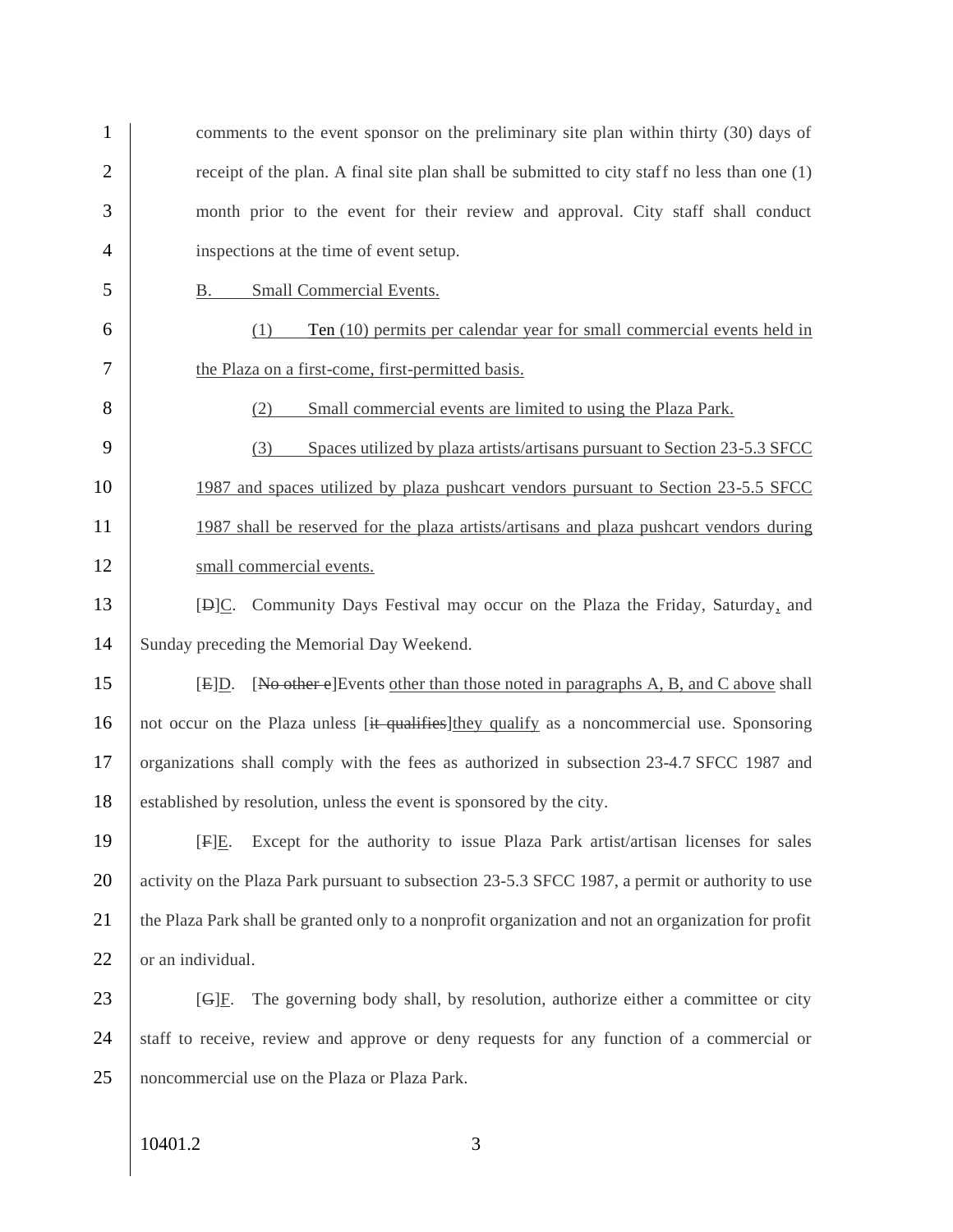| 1              | comments to the event sponsor on the preliminary site plan within thirty (30) days of               |
|----------------|-----------------------------------------------------------------------------------------------------|
| $\overline{2}$ | receipt of the plan. A final site plan shall be submitted to city staff no less than one (1)        |
| 3              | month prior to the event for their review and approval. City staff shall conduct                    |
| $\overline{4}$ | inspections at the time of event setup.                                                             |
| 5              | <b>Small Commercial Events.</b><br><u>B.</u>                                                        |
| 6              | Ten (10) permits per calendar year for small commercial events held in<br>(1)                       |
| 7              | the Plaza on a first-come, first-permitted basis.                                                   |
| 8              | Small commercial events are limited to using the Plaza Park.<br>(2)                                 |
| 9              | Spaces utilized by plaza artists/artisans pursuant to Section 23-5.3 SFCC<br>(3)                    |
| 10             | 1987 and spaces utilized by plaza pushcart vendors pursuant to Section 23-5.5 SFCC                  |
| 11             | 1987 shall be reserved for the plaza artists/artisans and plaza pushcart vendors during             |
| 12             | small commercial events.                                                                            |
| 13             | [D]C. Community Days Festival may occur on the Plaza the Friday, Saturday, and                      |
| 14             | Sunday preceding the Memorial Day Weekend.                                                          |
| 15             | [No other e] Events other than those noted in paragraphs A, B, and C above shall<br>[E]D.           |
| 16             | not occur on the Plaza unless [it qualifies] they qualify as a noncommercial use. Sponsoring        |
| 17             | organizations shall comply with the fees as authorized in subsection 23-4.7 SFCC 1987 and           |
| 18             | established by resolution, unless the event is sponsored by the city.                               |
| 19             | Except for the authority to issue Plaza Park artist/artisan licenses for sales<br>$[F]E$ .          |
| 20             | activity on the Plaza Park pursuant to subsection 23-5.3 SFCC 1987, a permit or authority to use    |
| 21             | the Plaza Park shall be granted only to a nonprofit organization and not an organization for profit |
| 22             | or an individual.                                                                                   |
| 23             | The governing body shall, by resolution, authorize either a committee or city<br>[G]E.              |
| 24             | staff to receive, review and approve or deny requests for any function of a commercial or           |
| 25             | noncommercial use on the Plaza or Plaza Park.                                                       |
|                | 10401.2<br>3                                                                                        |